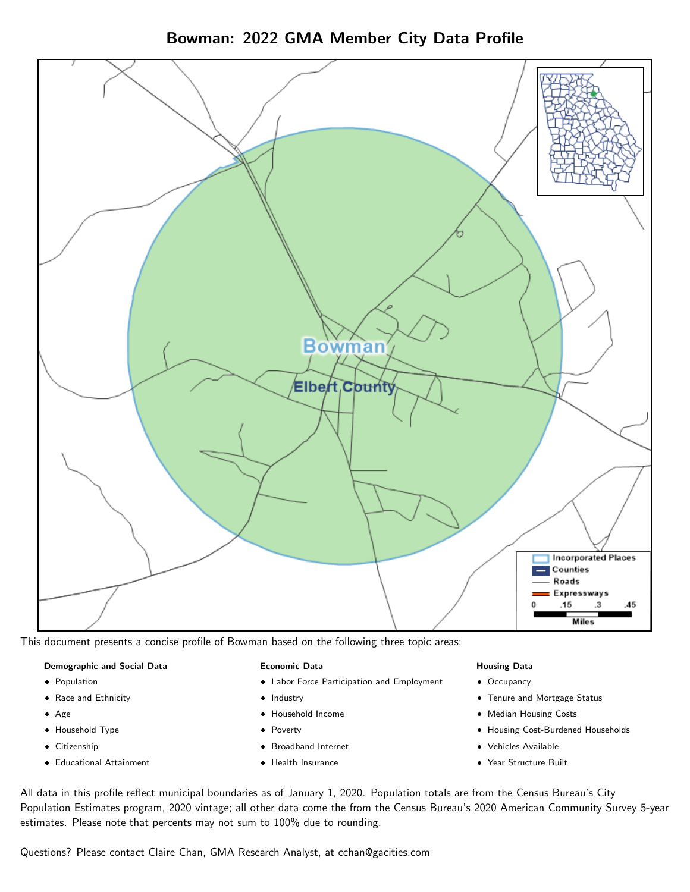



This document presents a concise profile of Bowman based on the following three topic areas:

#### Demographic and Social Data

- **•** Population
- Race and Ethnicity
- Age
- Household Type
- **Citizenship**
- Educational Attainment

## Economic Data

- Labor Force Participation and Employment
- Industry
- Household Income
- Poverty
- Broadband Internet
- Health Insurance

## Housing Data

- Occupancy
- Tenure and Mortgage Status
- Median Housing Costs
- Housing Cost-Burdened Households
- Vehicles Available
- Year Structure Built

All data in this profile reflect municipal boundaries as of January 1, 2020. Population totals are from the Census Bureau's City Population Estimates program, 2020 vintage; all other data come the from the Census Bureau's 2020 American Community Survey 5-year estimates. Please note that percents may not sum to 100% due to rounding.

Questions? Please contact Claire Chan, GMA Research Analyst, at [cchan@gacities.com.](mailto:cchan@gacities.com)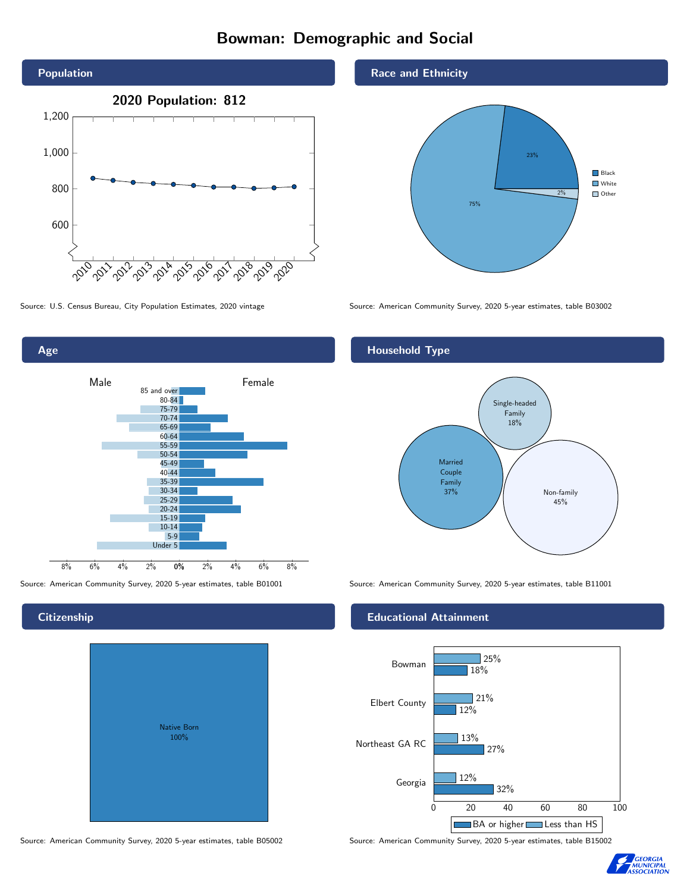# Bowman: Demographic and Social



Age 0% 2% 4% 6% 8% Male **Female** Female 8% 6% 4% 2% 85 and over 80-84 75-79 70-74 65-69 60-64 55-59 50-54 45-49 40-44 35-39 30-34 25-29 20-24 15-19 10-14 5-9 Under 5

Native Born 100%

## Race and Ethnicity



Source: U.S. Census Bureau, City Population Estimates, 2020 vintage Source: American Community Survey, 2020 5-year estimates, table B03002

# Household Type



Source: American Community Survey, 2020 5-year estimates, table B01001 Source: American Community Survey, 2020 5-year estimates, table B11001

## Educational Attainment



Source: American Community Survey, 2020 5-year estimates, table B05002 Source: American Community Survey, 2020 5-year estimates, table B15002



#### **Citizenship**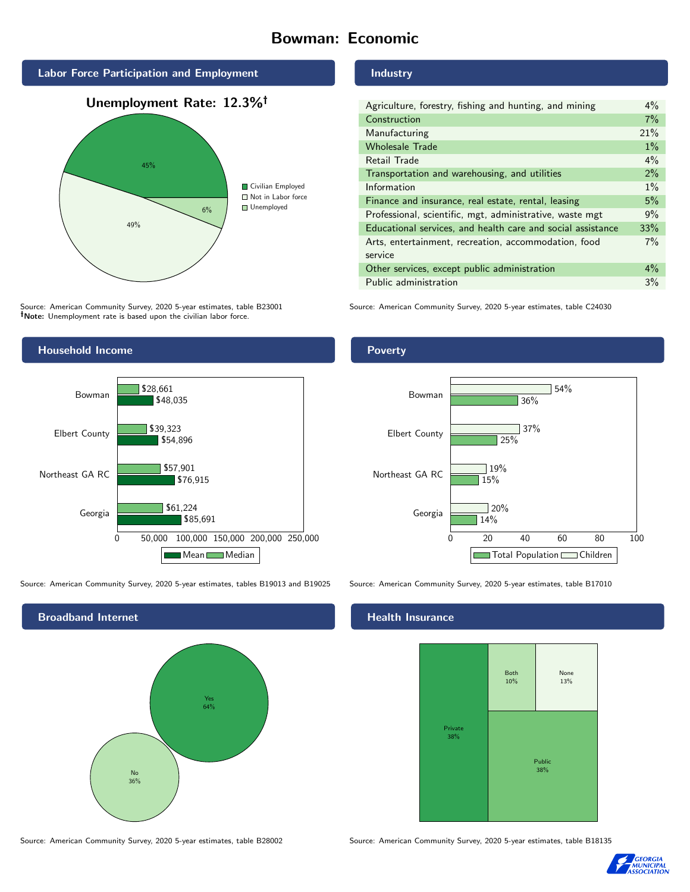# Bowman: Economic



Source: American Community Survey, 2020 5-year estimates, table B23001 Note: Unemployment rate is based upon the civilian labor force.

# Industry

| Agriculture, forestry, fishing and hunting, and mining      | $4\%$ |
|-------------------------------------------------------------|-------|
| Construction                                                | 7%    |
| Manufacturing                                               | 21%   |
| <b>Wholesale Trade</b>                                      | $1\%$ |
| Retail Trade                                                | $4\%$ |
| Transportation and warehousing, and utilities               | 2%    |
| Information                                                 | $1\%$ |
| Finance and insurance, real estate, rental, leasing         | 5%    |
| Professional, scientific, mgt, administrative, waste mgt    | 9%    |
| Educational services, and health care and social assistance | 33%   |
| Arts, entertainment, recreation, accommodation, food        | $7\%$ |
| service                                                     |       |
| Other services, except public administration                | $4\%$ |
| Public administration                                       | 3%    |

Source: American Community Survey, 2020 5-year estimates, table C24030



Source: American Community Survey, 2020 5-year estimates, tables B19013 and B19025 Source: American Community Survey, 2020 5-year estimates, table B17010



Poverty



## Health Insurance



Source: American Community Survey, 2020 5-year estimates, table B28002 Source: American Community Survey, 2020 5-year estimates, table B18135